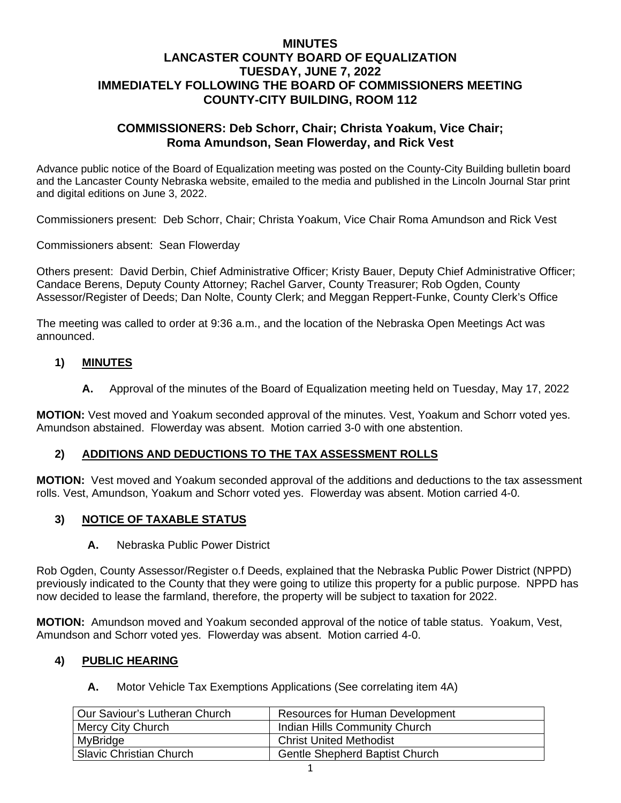## **MINUTES LANCASTER COUNTY BOARD OF EQUALIZATION TUESDAY, JUNE 7, 2022 IMMEDIATELY FOLLOWING THE BOARD OF COMMISSIONERS MEETING COUNTY-CITY BUILDING, ROOM 112**

### **COMMISSIONERS: Deb Schorr, Chair; Christa Yoakum, Vice Chair; Roma Amundson, Sean Flowerday, and Rick Vest**

Advance public notice of the Board of Equalization meeting was posted on the County-City Building bulletin board and the Lancaster County Nebraska website, emailed to the media and published in the Lincoln Journal Star print and digital editions on June 3, 2022.

Commissioners present: Deb Schorr, Chair; Christa Yoakum, Vice Chair Roma Amundson and Rick Vest

Commissioners absent: Sean Flowerday

Others present: David Derbin, Chief Administrative Officer; Kristy Bauer, Deputy Chief Administrative Officer; Candace Berens, Deputy County Attorney; Rachel Garver, County Treasurer; Rob Ogden, County Assessor/Register of Deeds; Dan Nolte, County Clerk; and Meggan Reppert-Funke, County Clerk's Office

The meeting was called to order at 9:36 a.m., and the location of the Nebraska Open Meetings Act was announced.

#### **1) MINUTES**

**A.** Approval of the [minutes](https://www.lancaster.ne.gov/DocumentCenter/View/10840/mi210921-BOE) of the Board of Equalization meeting held on Tuesday, May 17, 2022

**MOTION:** Vest moved and Yoakum seconded approval of the minutes. Vest, Yoakum and Schorr voted yes. Amundson abstained. Flowerday was absent. Motion carried 3-0 with one abstention.

#### **2) ADDITIONS AND DEDUCTIONS TO THE TAX ASSESSMENT ROLLS**

**MOTION:** Vest moved and Yoakum seconded approval of the additions and deductions to the tax assessment rolls. Vest, Amundson, Yoakum and Schorr voted yes. Flowerday was absent. Motion carried 4-0.

#### **3) NOTICE OF TAXABLE STATUS**

**A.** Nebraska Public Power District

Rob Ogden, County Assessor/Register o.f Deeds, explained that the Nebraska Public Power District (NPPD) previously indicated to the County that they were going to utilize this property for a public purpose. NPPD has now decided to lease the farmland, therefore, the property will be subject to taxation for 2022.

**MOTION:** Amundson moved and Yoakum seconded approval of the notice of table status. Yoakum, Vest, Amundson and Schorr voted yes. Flowerday was absent. Motion carried 4-0.

#### **4) PUBLIC HEARING**

**A.** Motor Vehicle Tax Exemptions Applications (See correlating item 4A)

| Our Saviour's Lutheran Church  | Resources for Human Development |
|--------------------------------|---------------------------------|
| Mercy City Church              | Indian Hills Community Church   |
| MyBridge                       | <b>Christ United Methodist</b>  |
| <b>Slavic Christian Church</b> | Gentle Shepherd Baptist Church  |